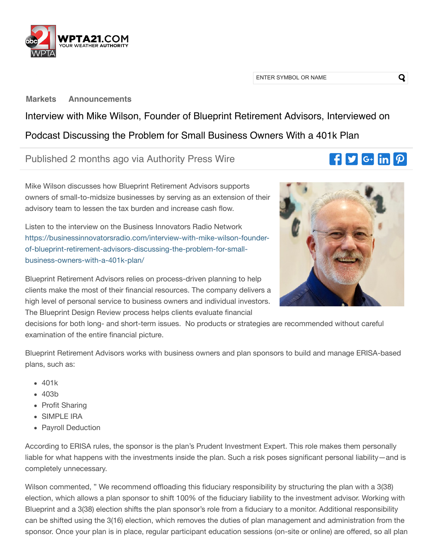

ENTER SYMBOL OR NAME

**[Markets](https://wpta.marketminute.com/) [Announcements](https://wpta.marketminute.com/announcements)**

Interview with Mike Wilson, Founder of Blueprint Retirement Advisors, Interviewed on Podcast Discussing the Problem for Small Business Owners With a 401k Plan

Published 2 months ago via Authority Press Wire

Mike Wilson discusses how Blueprint Retirement Advisors supports owners of small-to-midsize businesses by serving as an extension of their advisory team to lessen the tax burden and increase cash flow.

Listen to the interview on the Business Innovators Radio Network [https://businessinnovatorsradio.com/interview-with-mike-wilson-founder](https://businessinnovatorsradio.com/interview-with-mike-wilson-founder-of-blueprint-retirement-advisors-discussing-the-problem-for-small-business-owners-with-a-401k-plan/)of-blueprint-retirement-advisors-discussing-the-problem-for-smallbusiness-owners-with-a-401k-plan/

Blueprint Retirement Advisors relies on process-driven planning to help clients make the most of their fifinancial resources. The company delivers a high level of personal service to business owners and individual investors. The Blueprint Design Review process helps clients evaluate financial

decisions for both long- and short-term issues. No products or strategies are recommended without careful examination of the entire financial picture.

Blueprint Retirement Advisors works with business owners and plan sponsors to build and manage ERISA-based plans, such as:

- $-401k$
- $-403<sub>b</sub>$
- Profit Sharing
- SIMPLE IRA
- Payroll Deduction

According to ERISA rules, the sponsor is the plan's Prudent Investment Expert. This role makes them personally liable for what happens with the investments inside the plan. Such a risk poses significant personal liability—and is completely unnecessary.

Wilson commented, " We recommend offloading this fiduciary responsibility by structuring the plan with a 3(38) election, which allows a plan sponsor to shift 100% of the fiduciary liability to the investment advisor. Working with Blueprint and a 3(38) election shifts the plan sponsor's role from a fiduciary to a monitor. Additional responsibility can be shifted using the 3(16) election, which removes the duties of plan management and administration from the sponsor. Once your plan is in place, regular participant education sessions (on-site or online) are offered, so all plan



 $\mathbf{F}$   $\mathbf{y}$   $\mathbf{G}$  in  $\mathbf{p}$ 

Q